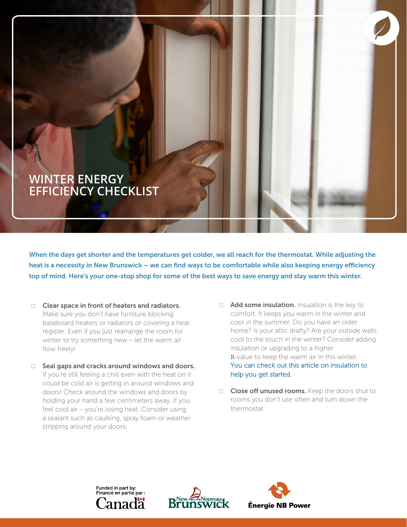## **WINTER ENERGY EFFICIENCY CHECKLIST**

When the days get shorter and the temperatures get colder, we all reach for the thermostat. While adjusting the heat is a necessity in New Brunswick – we can find ways to be comfortable while also keeping energy efficiency top of mind. Here's your one-stop shop for some of the best ways to save energy and stay warm this winter.

- $\Box$  Clear space in front of heaters and radiators. Make sure you don't have furniture blocking baseboard heaters or radiators or covering a heat register. Even if you just rearrange the room for winter to try something new – let the warm air flow freely!
- ☐ Seal gaps and cracks around windows and doors. If you're still feeling a chill even with the heat on it could be cold air is getting in around windows and doors! Check around the windows and doors by holding your hand a few centimeters away. If you feel cool air – you're losing heat. Consider using a sealant such as caulking, spray foam or weather stripping around your doors.
- $\Box$  **Add some insulation.** Insulation is the key to comfort. It keeps you warm in the winter and cool in the summer. Do you have an older home? Is your attic drafty? Are your outside walls cool to the touch in the winter? Consider adding insulation or upgrading to a higher R-value to keep the warm air in this winter. [You can check out this article on insulation to](https://www.saveenergynb.ca/en/save-energy/education-and-tips/energy-efficiency-articles/understanding-insulation/) help you get started.
- **□** Close off unused rooms. Keep the doors shut to rooms you don't use often and turn down the thermostat.